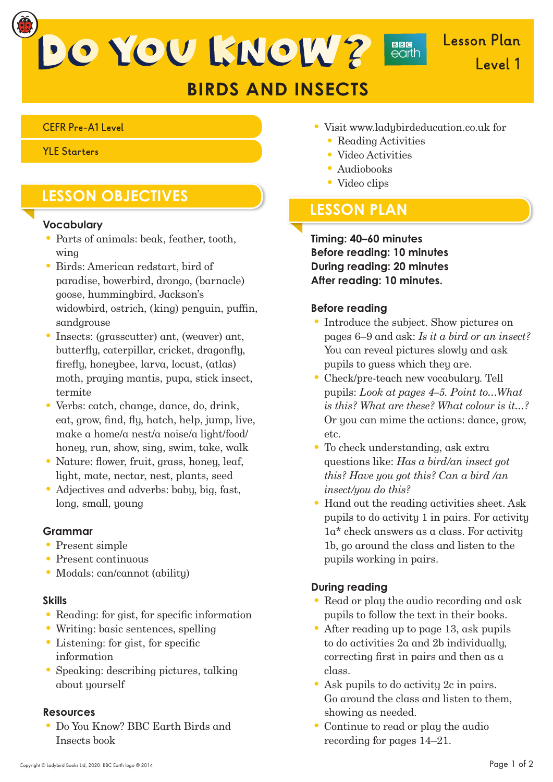DO YOU KNOW?

# **BIRDS AND INSECTS**

#### **CEFR Pre-A1 Level**

**YLE Starters**

## **LESSON OBJECTIVES**

#### **Vocabulary**

- Parts of animals: beak, feather, tooth, wing
- Birds: American redstart, bird of paradise, bowerbird, drongo, (barnacle) goose, hummingbird, Jackson's widowbird, ostrich, (king) penguin, puffin, sandgrouse
- Insects: (grasscutter) ant, (weaver) ant, butterfly, caterpillar, cricket, dragonfly, fire fly, honeybee, larva, locust, (atlas) moth, praying mantis, pupa, stick insect, termite
- Verbs: catch, change, dance, do, drink, eat, grow, find, fly, hatch, help, jump, live, make a home/a nest/a noise/a light/food/ honey, run, show, sing, swim, take, walk
- Nature: flower, fruit, grass, honey, leaf, light, mate, nectar, nest, plants, seed
- Adjectives and adverbs: baby, big, fast, long, small, young

#### **Grammar**

- Present simple
- Present continuous
- Modals: can/cannot (ability)

#### **Skills**

- $\bullet$  Reading: for gist, for specific information
- Writing: basic sentences, spelling
- $\bullet$  Listening: for gist, for specific information
- Speaking: describing pictures, talking about yourself

#### **Resources**

• Do You Know? BBC Earth Birds and Insects book

• Visit www.ladybirdeducation.co.uk for

**BBG**<br>earth

- Reading Activities
- Video Activities
- Audiobooks
- Video clips

## **LESSON PLAN**

**Timing: 40–60 minutes Before reading: 10 minutes During reading: 20 minutes After reading: 10 minutes.**

#### **Before reading**

- Introduce the subject. Show pictures on pages 6–9 and ask: *Is it a bird or an insect?*  You can reveal pictures slowly and ask pupils to guess which they are.
- Check/pre-teach new vocabulary. Tell pupils: *Look at pages 4–5. Point to…What is this? What are these? What colour is it…?*  Or you can mime the actions: dance, grow, etc.
- To *c*heck understanding, ask extra questions like: *Has a bird/an insect got this? Have you got this? Can a bird /an insect/you do this?*
- Hand out the reading activities sheet. Ask pupils to do activity 1 in pairs. For activity 1a\* check answers as a class. For activity 1b, go around the class and listen to the pupils working in pairs.

### **During reading**

- Read or play the audio recording and ask pupils to follow the text in their books.
- After reading up to page 13, ask pupils to do activities 2a and 2b individually, correcting first in pairs and then as  $\alpha$ class.
- Ask pupils to do activity 2c in pairs. Go around the class and listen to them, showing as needed.
- Continue to read or play the audio recording for pages 14–21.